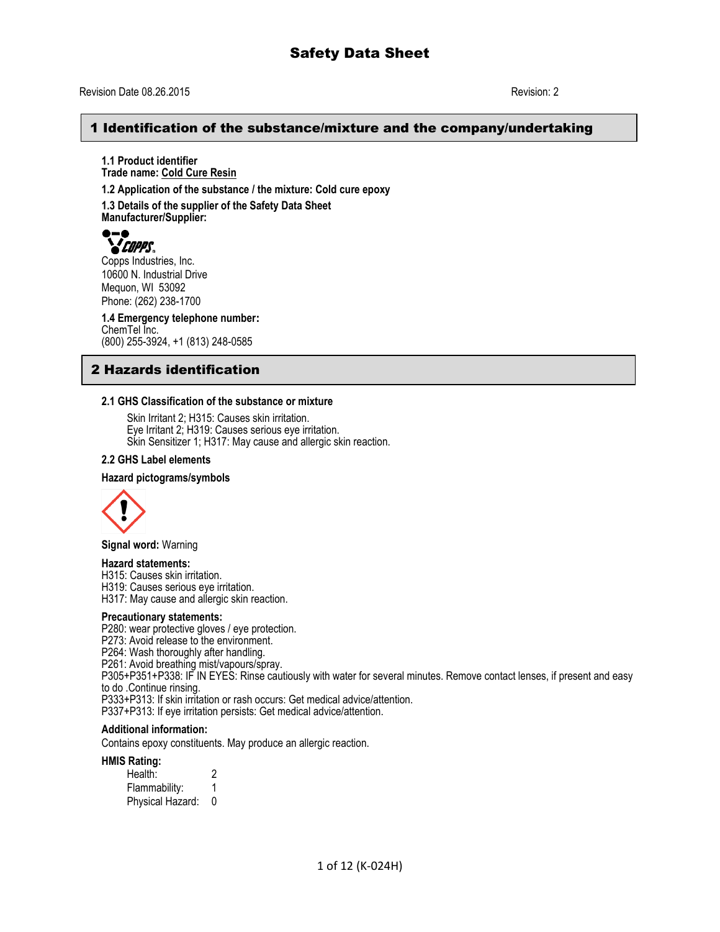## Revision Date 08.26.2015 Revision: 2

## 1 Identification of the substance/mixture and the company/undertaking

**1.1 Product identifier Trade name: Cold Cure Resin**

**1.2 Application of the substance / the mixture: Cold cure epoxy**

**1.3 Details of the supplier of the Safety Data Sheet Manufacturer/Supplier:**



Copps Industries, Inc. 10600 N. Industrial Drive Mequon, WI 53092 Phone: (262) 238-1700

**1.4 Emergency telephone number:** ChemTel Inc. (800) 255-3924, +1 (813) 248-0585

## 2 Hazards identification

### **2.1 GHS Classification of the substance or mixture**

Skin Irritant 2; H315: Causes skin irritation. Eye Irritant 2; H319: Causes serious eye irritation. Skin Sensitizer 1; H317: May cause and allergic skin reaction.

### **2.2 GHS Label elements**

### **Hazard pictograms/symbols**



**Signal word:** Warning

### **Hazard statements:**

H315: Causes skin irritation.

H319: Causes serious eye irritation.

H317: May cause and allergic skin reaction.

### **Precautionary statements:**

P280: wear protective gloves / eye protection.

P273: Avoid release to the environment.

P264: Wash thoroughly after handling.

P261: Avoid breathing mist/vapours/spray.

P305+P351+P338: IF IN EYES: Rinse cautiously with water for several minutes. Remove contact lenses, if present and easy to do .Continue rinsing.

P333+P313: If skin irritation or rash occurs: Get medical advice/attention.

P337+P313: If eye irritation persists: Get medical advice/attention.

### **Additional information:**

Contains epoxy constituents. May produce an allergic reaction.

### **HMIS Rating:**

Health: 2 Flammability: 1 Physical Hazard: 0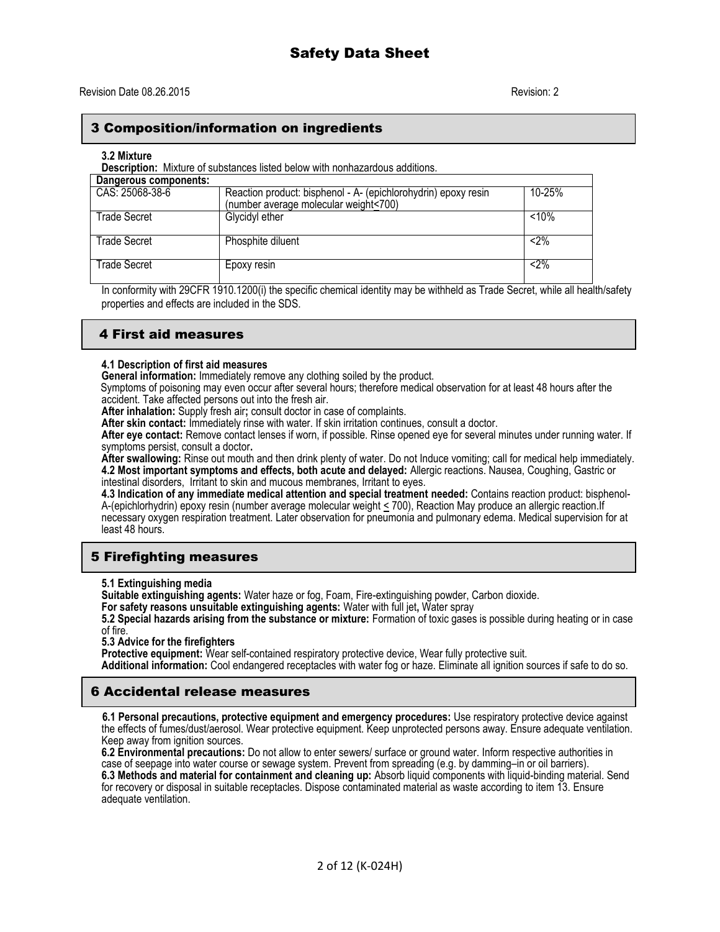## 3 Composition/information on ingredients

### **3.2 Mixture**

**Description:** Mixture of substances listed below with nonhazardous additions.

| Dangerous components: |                                                                |        |
|-----------------------|----------------------------------------------------------------|--------|
| CAS: 25068-38-6       | Reaction product: bisphenol - A- (epichlorohydrin) epoxy resin | 10-25% |
|                       | (number average molecular weight<700)                          |        |
| Trade Secret          | Glycidyl ether                                                 | < 10%  |
| <b>Trade Secret</b>   | Phosphite diluent                                              | $2\%$  |
| Trade Secret          | Epoxy resin                                                    | $2\%$  |

In conformity with 29CFR 1910.1200(i) the specific chemical identity may be withheld as Trade Secret, while all health/safety properties and effects are included in the SDS.

## 4 First aid measures

## **4.1 Description of first aid measures**

**General information:** Immediately remove any clothing soiled by the product.

Symptoms of poisoning may even occur after several hours; therefore medical observation for at least 48 hours after the accident. Take affected persons out into the fresh air.

**After inhalation:** Supply fresh air**;** consult doctor in case of complaints.

**After skin contact:** Immediately rinse with water. If skin irritation continues, consult a doctor.

**After eye contact:** Remove contact lenses if worn, if possible. Rinse opened eye for several minutes under running water. If symptoms persist, consult a doctor**.**

**After swallowing:** Rinse out mouth and then drink plenty of water. Do not Induce vomiting; call for medical help immediately. **4.2 Most important symptoms and effects, both acute and delayed:** Allergic reactions. Nausea, Coughing, Gastric or

intestinal disorders, Irritant to skin and mucous membranes, Irritant to eyes.

**4.3 Indication of any immediate medical attention and special treatment needed:** Contains reaction product: bisphenol-A-(epichlorhydrin) epoxy resin (number average molecular weight < 700), Reaction May produce an allergic reaction.If necessary oxygen respiration treatment. Later observation for pneumonia and pulmonary edema. Medical supervision for at least 48 hours.

## 5 Firefighting measures

**5.1 Extinguishing media**

**Suitable extinguishing agents:** Water haze or fog, Foam, Fire-extinguishing powder, Carbon dioxide.

**For safety reasons unsuitable extinguishing agents:** Water with full jet**,** Water spray

**5.2 Special hazards arising from the substance or mixture:** Formation of toxic gases is possible during heating or in case of fire.

**5.3 Advice for the firefighters**

Protective equipment: Wear self-contained respiratory protective device, Wear fully protective suit.

**Additional information:** Cool endangered receptacles with water fog or haze. Eliminate all ignition sources if safe to do so.

## 6 Accidental release measures

 **6.1 Personal precautions, protective equipment and emergency procedures:** Use respiratory protective device against the effects of fumes/dust/aerosol. Wear protective equipment. Keep unprotected persons away. Ensure adequate ventilation. Keep away from ignition sources.

**6.2 Environmental precautions:** Do not allow to enter sewers/ surface or ground water. Inform respective authorities in case of seepage into water course or sewage system. Prevent from spreading (e.g. by damming–in or oil barriers). **6.3 Methods and material for containment and cleaning up:** Absorb liquid components with liquid-binding material. Send for recovery or disposal in suitable receptacles. Dispose contaminated material as waste according to item 13. Ensure adequate ventilation.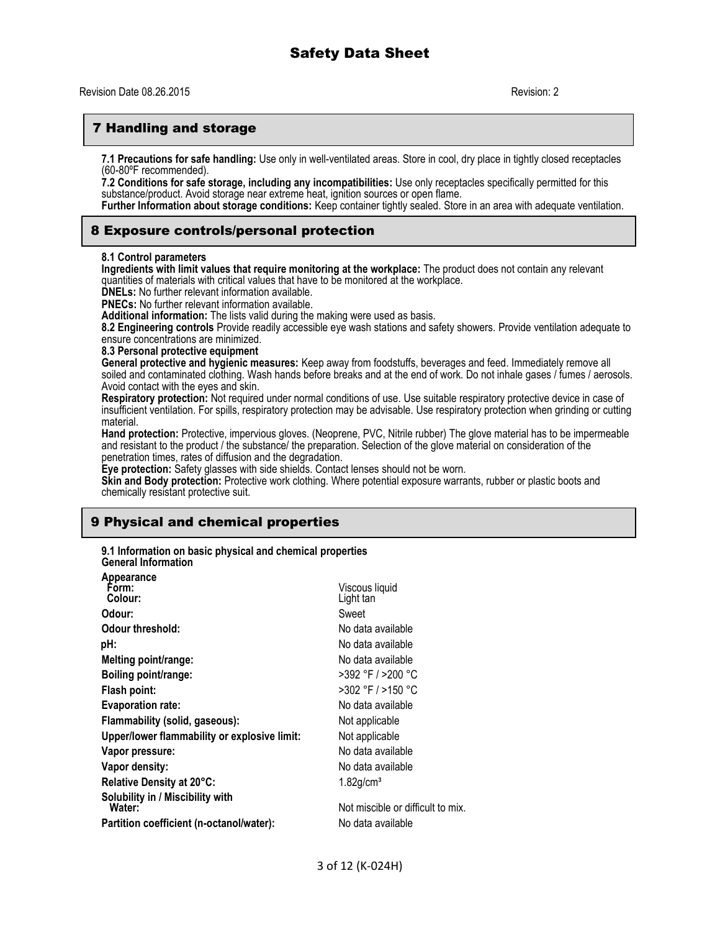## 7 Handling and storage

**7.1 Precautions for safe handling:** Use only in well-ventilated areas. Store in cool, dry place in tightly closed receptacles (60-80ºF recommended).

**7.2 Conditions for safe storage, including any incompatibilities:** Use only receptacles specifically permitted for this substance/product. Avoid storage near extreme heat, ignition sources or open flame.

**Further Information about storage conditions:** Keep container tightly sealed. Store in an area with adequate ventilation.

### 8 Exposure controls/personal protection

### **8.1 Control parameters**

**Ingredients with limit values that require monitoring at the workplace:** The product does not contain any relevant quantities of materials with critical values that have to be monitored at the workplace.

**DNELs:** No further relevant information available.

**PNECs:** No further relevant information available.

**Additional information:** The lists valid during the making were used as basis.

**8.2 Engineering controls** Provide readily accessible eye wash stations and safety showers. Provide ventilation adequate to ensure concentrations are minimized.

**8.3 Personal protective equipment**

**General protective and hygienic measures:** Keep away from foodstuffs, beverages and feed. Immediately remove all soiled and contaminated clothing. Wash hands before breaks and at the end of work. Do not inhale gases / fumes / aerosols. Avoid contact with the eyes and skin.

**Respiratory protection:** Not required under normal conditions of use. Use suitable respiratory protective device in case of insufficient ventilation. For spills, respiratory protection may be advisable. Use respiratory protection when grinding or cutting material.

**Hand protection:** Protective, impervious gloves. (Neoprene, PVC, Nitrile rubber) The glove material has to be impermeable and resistant to the product / the substance/ the preparation. Selection of the glove material on consideration of the penetration times, rates of diffusion and the degradation.

**Eye protection:** Safety glasses with side shields. Contact lenses should not be worn.

**Skin and Body protection:** Protective work clothing. Where potential exposure warrants, rubber or plastic boots and chemically resistant protective suit.

## 9 Physical and chemical properties

**9.1 Information on basic physical and chemical properties General Information**

| Appearance                                   |                                   |
|----------------------------------------------|-----------------------------------|
| Form:                                        | Viscous liquid                    |
| Colour:                                      | Light tan                         |
| Odour:                                       | Sweet                             |
| Odour threshold:                             | No data available                 |
| pH:                                          | No data available                 |
| Melting point/range:                         | No data available                 |
| Boiling point/range:                         | >392 °F / >200 °C                 |
| Flash point:                                 | >302 °F / >150 °C                 |
| <b>Evaporation rate:</b>                     | No data available                 |
| Flammability (solid, gaseous):               | Not applicable                    |
| Upper/lower flammability or explosive limit: | Not applicable                    |
| Vapor pressure:                              | No data available                 |
| Vapor density:                               | No data available                 |
| Relative Density at 20°C:                    | $1.82$ g/cm <sup>3</sup>          |
| Solubility in / Miscibility with<br>Water:   | Not miscible or difficult to mix. |
| Partition coefficient (n-octanol/water):     | No data available                 |
|                                              |                                   |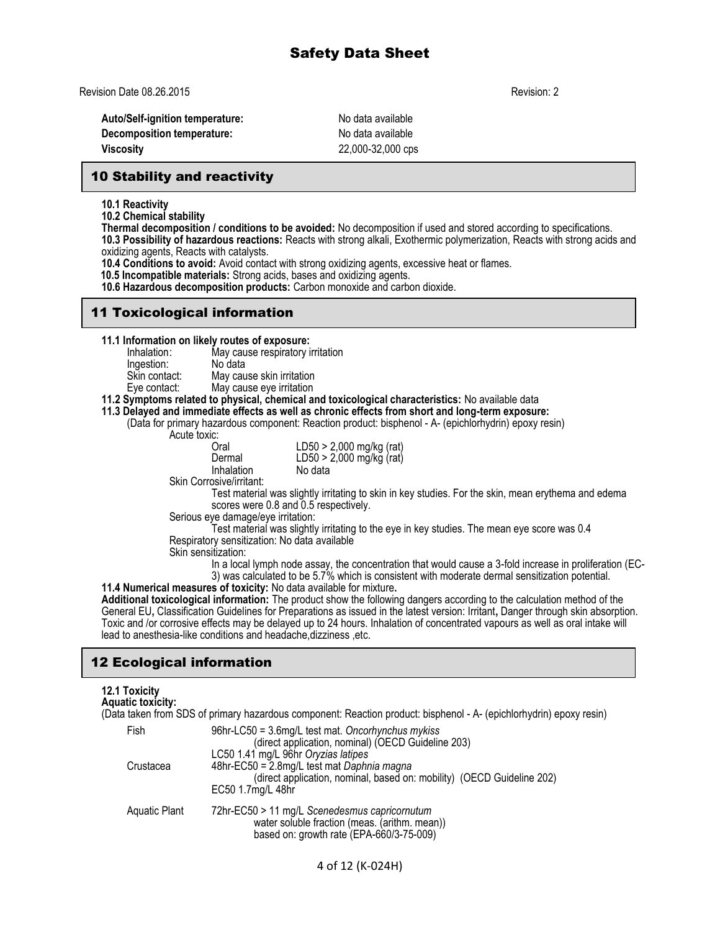Revision Date 08.26.2015 Revision: 2

**Auto/Self-ignition temperature:** No data available **Decomposition temperature:** No data available **Viscosity** 22,000-32,000 cps

## 10 Stability and reactivity

**10.1 Reactivity**

**10.2 Chemical stability**

**Thermal decomposition / conditions to be avoided:** No decomposition if used and stored according to specifications.

**10.3 Possibility of hazardous reactions:** Reacts with strong alkali, Exothermic polymerization, Reacts with strong acids and oxidizing agents, Reacts with catalysts.

**10.4 Conditions to avoid:** Avoid contact with strong oxidizing agents, excessive heat or flames.

 **10.5 Incompatible materials:** Strong acids, bases and oxidizing agents.

**10.6 Hazardous decomposition products:** Carbon monoxide and carbon dioxide.

## 11 Toxicological information

**11.1 Information on likely routes of exposure:**

Inhalation: May cause respiratory irritation Ingestion:<br>Skin contact: May cause skin irritation Eye contact: May cause eye irritation

### **11.2 Symptoms related to physical, chemical and toxicological characteristics:** No available data

## **11.3 Delayed and immediate effects as well as chronic effects from short and long-term exposure:**

(Data for primary hazardous component: Reaction product: bisphenol - A- (epichlorhydrin) epoxy resin)

Acute toxic:<br>Cral

| Oral       | LD50 > 2,000 mg/kg (rat)   |
|------------|----------------------------|
| Dermal     | LD50 > 2,000 mg/kg $(rat)$ |
| Inhalation | No data                    |
|            |                            |

Skin Corrosive/irritant:

Test material was slightly irritating to skin in key studies. For the skin, mean erythema and edema scores were 0.8 and 0.5 respectively.

Serious eye damage/eye irritation:

Test material was slightly irritating to the eye in key studies. The mean eye score was 0.4 Respiratory sensitization: No data available

Skin sensitization:

In a local lymph node assay, the concentration that would cause a 3-fold increase in proliferation (EC-3) was calculated to be 5.7% which is consistent with moderate dermal sensitization potential.

**11.4 Numerical measures of toxicity:** No data available for mixture**. Additional toxicological information:** The product show the following dangers according to the calculation method of the General EU**,** Classification Guidelines for Preparations as issued in the latest version: Irritant**,** Danger through skin absorption. Toxic and /or corrosive effects may be delayed up to 24 hours. Inhalation of concentrated vapours as well as oral intake will lead to anesthesia-like conditions and headache,dizziness ,etc.

## 12 Ecological information

### **12.1 Toxicity Aquatic toxicity:**

(Data taken from SDS of primary hazardous component: Reaction product: bisphenol - A- (epichlorhydrin) epoxy resin) Fish 96hr-LC50 = 3.6mg/L test mat. *Oncorhynchus mykiss*

| <b>Fish</b>   | 96hr-LC50 = 3.6mq/L test mat. Oncorhynchus mykiss<br>(direct application, nominal) (OECD Guideline 203)                                                                          |
|---------------|----------------------------------------------------------------------------------------------------------------------------------------------------------------------------------|
| Crustacea     | LC50 1.41 mg/L 96hr Oryzias latipes<br>48hr-EC50 = 2.8mg/L test mat Daphnia magna<br>(direct application, nominal, based on: mobility) (OECD Guideline 202)<br>EC50 1.7mg/L 48hr |
| Aquatic Plant | 72hr-EC50 > 11 mg/L Scenedesmus capricornutum<br>water soluble fraction (meas. (arithm. mean))<br>based on: growth rate (EPA-660/3-75-009)                                       |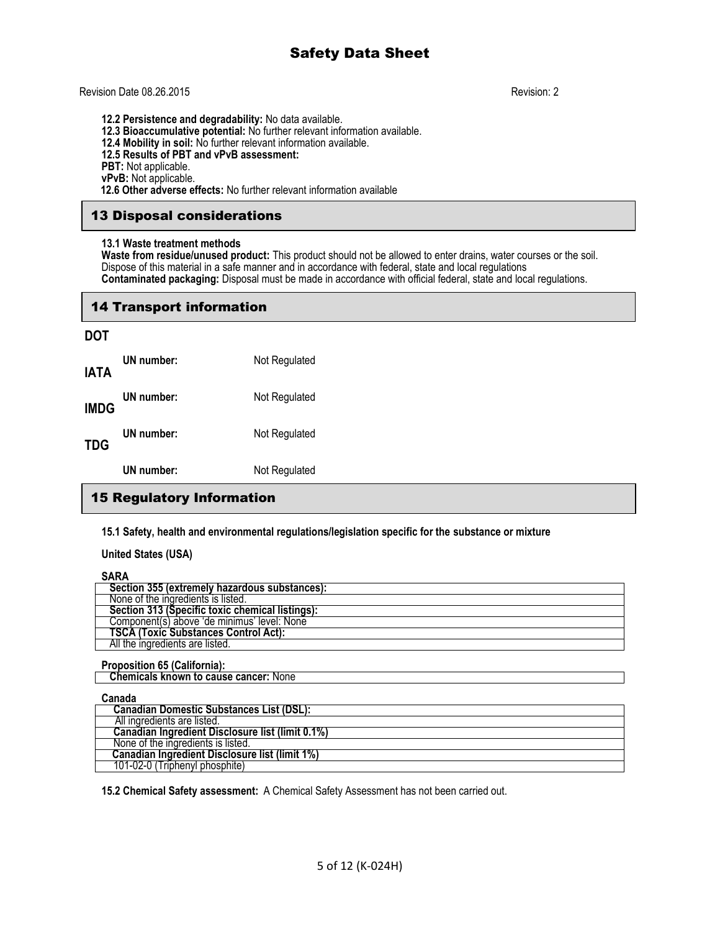### Revision Date 08.26.2015 Revision: 2

**12.2 Persistence and degradability:** No data available. **12.3 Bioaccumulative potential:** No further relevant information available. **12.4 Mobility in soil:** No further relevant information available. **12.5 Results of PBT and vPvB assessment:** PBT: Not applicable. **vPvB:** Not applicable.  **12.6 Other adverse effects:** No further relevant information available

## 13 Disposal considerations

### **13.1 Waste treatment methods**

**Waste from residue/unused product:** This product should not be allowed to enter drains, water courses or the soil. Dispose of this material in a safe manner and in accordance with federal, state and local regulations **Contaminated packaging:** Disposal must be made in accordance with official federal, state and local regulations.

## 14 Transport information

### **DOT**

|             | UN number: | Not Regulated |
|-------------|------------|---------------|
| TDG         | UN number: | Not Regulated |
| <b>IMDG</b> | UN number: | Not Regulated |
| IATA        | UN number: | Not Regulated |

## 15 Regulatory Information

**15.1 Safety, health and environmental regulations/legislation specific for the substance or mixture**

### **United States (USA)**

### **SARA Section 355 (extremely hazardous substances):** None of the ingredients is listed.  **Section 313 (Specific toxic chemical listings):** Component(s) above 'de minimus' level: None  **TSCA (Toxic Substances Control Act):** All the ingredients are listed.

## **Proposition 65 (California):**

 **Chemicals known to cause cancer:** None

## **Canada Canadian Domestic Substances List (DSL):** All ingredients are listed.  **Canadian Ingredient Disclosure list (limit 0.1%)** None of the ingredients is listed.  **Canadian Ingredient Disclosure list (limit 1%)** 101-02-0 (Triphenyl phosphite)

**15.2 Chemical Safety assessment:** A Chemical Safety Assessment has not been carried out.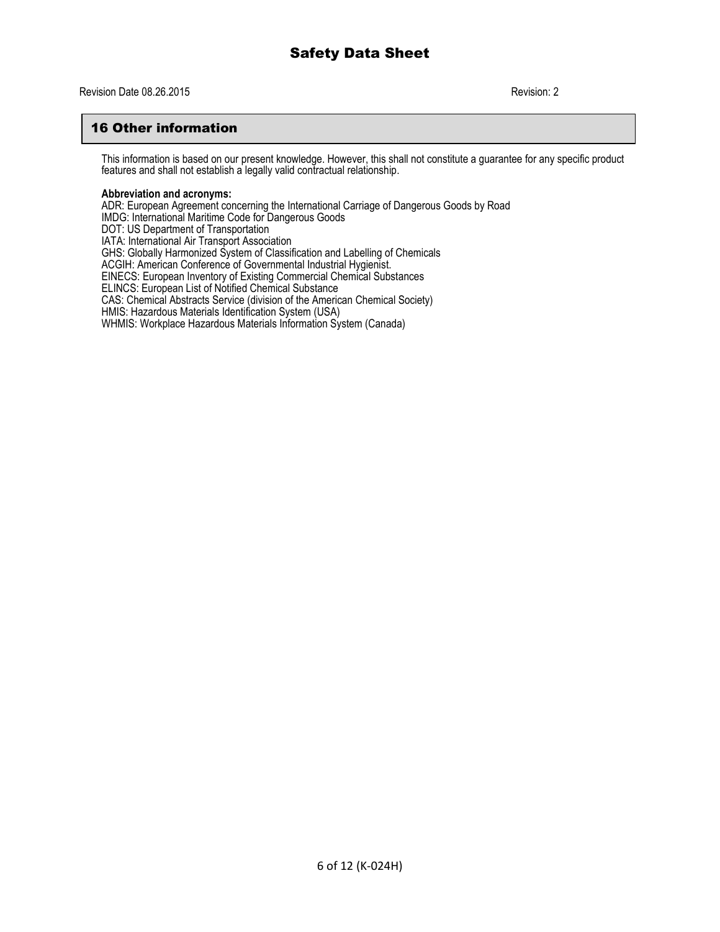## 16 Other information

This information is based on our present knowledge. However, this shall not constitute a guarantee for any specific product features and shall not establish a legally valid contractual relationship.

### **Abbreviation and acronyms:**

ADR: European Agreement concerning the International Carriage of Dangerous Goods by Road IMDG: International Maritime Code for Dangerous Goods DOT: US Department of Transportation IATA: International Air Transport Association GHS: Globally Harmonized System of Classification and Labelling of Chemicals ACGIH: American Conference of Governmental Industrial Hygienist. EINECS: European Inventory of Existing Commercial Chemical Substances ELINCS: European List of Notified Chemical Substance CAS: Chemical Abstracts Service (division of the American Chemical Society) HMIS: Hazardous Materials Identification System (USA) WHMIS: Workplace Hazardous Materials Information System (Canada)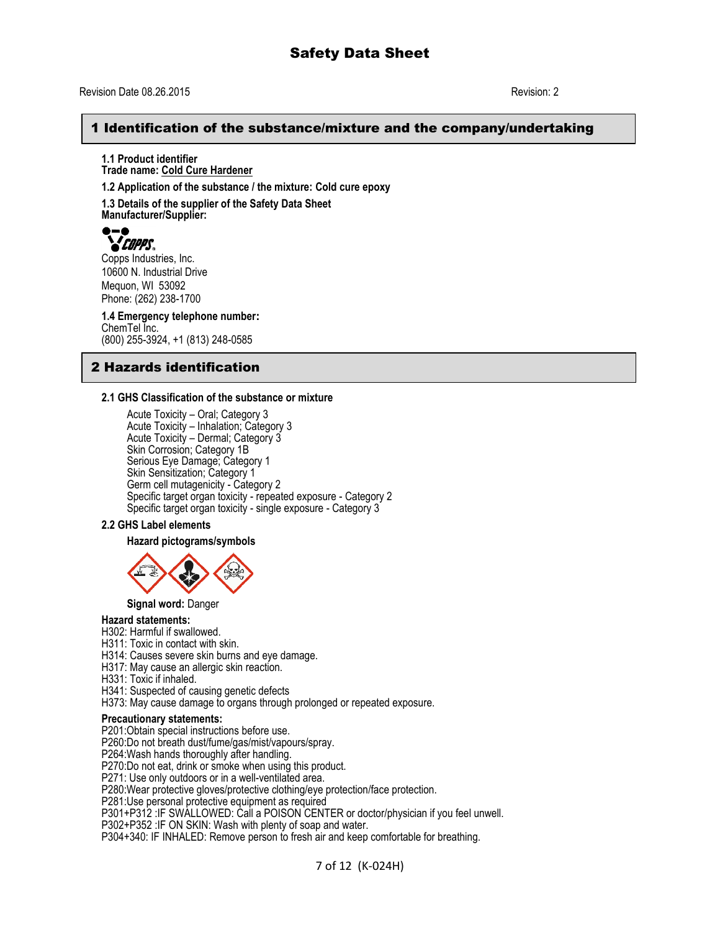## Revision Date 08.26.2015 Revision: 2

## 1 Identification of the substance/mixture and the company/undertaking

**1.1 Product identifier Trade name: Cold Cure Hardener**

**1.2 Application of the substance / the mixture: Cold cure epoxy**

**1.3 Details of the supplier of the Safety Data Sheet Manufacturer/Supplier:**



Copps Industries, Inc. 10600 N. Industrial Drive Mequon, WI 53092 Phone: (262) 238-1700

**1.4 Emergency telephone number:** ChemTel Inc. (800) 255-3924, +1 (813) 248-0585

## 2 Hazards identification

### **2.1 GHS Classification of the substance or mixture**

Acute Toxicity – Oral; Category 3 Acute Toxicity – Inhalation; Category 3 Acute Toxicity – Dermal; Category 3 Skin Corrosion; Category 1B Serious Eye Damage; Category 1 Skin Sensitization; Category 1 Germ cell mutagenicity - Category 2 Specific target organ toxicity - repeated exposure - Category 2 Specific target organ toxicity - single exposure - Category 3

### **2.2 GHS Label elements**

### **Hazard pictograms/symbols**



**Signal word:** Danger

### **Hazard statements:**

H302: Harmful if swallowed.

H311: Toxic in contact with skin.

H314: Causes severe skin burns and eye damage.

H317: May cause an allergic skin reaction.

H331: Toxic if inhaled.

H341: Suspected of causing genetic defects

H373: May cause damage to organs through prolonged or repeated exposure.

### **Precautionary statements:**

P201:Obtain special instructions before use.

P260:Do not breath dust/fume/gas/mist/vapours/spray.

P264:Wash hands thoroughly after handling.

P270:Do not eat, drink or smoke when using this product.

P271: Use only outdoors or in a well-ventilated area.

P280:Wear protective gloves/protective clothing/eye protection/face protection.

P281:Use personal protective equipment as required

P301+P312 :IF SWALLOWED: Call a POISON CENTER or doctor/physician if you feel unwell.

P302+P352 :IF ON SKIN: Wash with plenty of soap and water.

P304+340: IF INHALED: Remove person to fresh air and keep comfortable for breathing.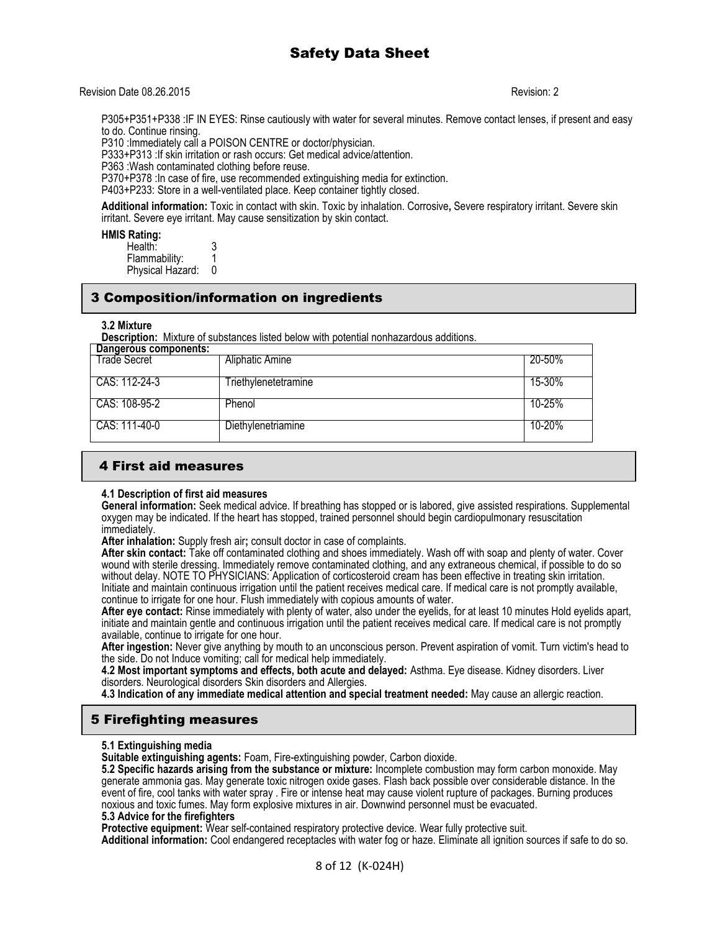### Revision Date 08.26.2015 Revision: 2

P305+P351+P338 :IF IN EYES: Rinse cautiously with water for several minutes. Remove contact lenses, if present and easy to do. Continue rinsing.

P310 :Immediately call a POISON CENTRE or doctor/physician.

P333+P313 :If skin irritation or rash occurs: Get medical advice/attention.

P363 :Wash contaminated clothing before reuse.

P370+P378 :In case of fire, use recommended extinguishing media for extinction.

P403+P233: Store in a well-ventilated place. Keep container tightly closed.

**Additional information:** Toxic in contact with skin. Toxic by inhalation. Corrosive**,** Severe respiratory irritant. Severe skin irritant. Severe eye irritant. May cause sensitization by skin contact.

**HMIS Rating:** 

| Health:          | ◠<br>м. |
|------------------|---------|
| Flammability:    |         |
| Physical Hazard: |         |

## 3 Composition/information on ingredients

### **3.2 Mixture**

**Description:** Mixture of substances listed below with potential nonhazardous additions.

| Dangerous components: |                      |        |
|-----------------------|----------------------|--------|
| Trade Secret          | Aliphatic Amine      | 20-50% |
| CAS: 112-24-3         | Triethylenetetramine | 15-30% |
| CAS: 108-95-2         | Phenol               | 10-25% |
| CAS: 111-40-0         | Diethylenetriamine   | 10-20% |

## 4 First aid measures

### **4.1 Description of first aid measures**

**General information:** Seek medical advice. If breathing has stopped or is labored, give assisted respirations. Supplemental oxygen may be indicated. If the heart has stopped, trained personnel should begin cardiopulmonary resuscitation immediately.

**After inhalation:** Supply fresh air**;** consult doctor in case of complaints.

**After skin contact:** Take off contaminated clothing and shoes immediately. Wash off with soap and plenty of water. Cover wound with sterile dressing. Immediately remove contaminated clothing, and any extraneous chemical, if possible to do so without delay. NOTE TO PHYSICIANS: Application of corticosteroid cream has been effective in treating skin irritation. Initiate and maintain continuous irrigation until the patient receives medical care. If medical care is not promptly available, continue to irrigate for one hour. Flush immediately with copious amounts of water.

**After eye contact:** Rinse immediately with plenty of water, also under the eyelids, for at least 10 minutes Hold eyelids apart, initiate and maintain gentle and continuous irrigation until the patient receives medical care. If medical care is not promptly available, continue to irrigate for one hour.

**After ingestion:** Never give anything by mouth to an unconscious person. Prevent aspiration of vomit. Turn victim's head to the side. Do not Induce vomiting; call for medical help immediately.

**4.2 Most important symptoms and effects, both acute and delayed:** Asthma. Eye disease. Kidney disorders. Liver disorders. Neurological disorders Skin disorders and Allergies.

**4.3 Indication of any immediate medical attention and special treatment needed:** May cause an allergic reaction.

## 5 Firefighting measures

### **5.1 Extinguishing media**

**Suitable extinguishing agents:** Foam, Fire-extinguishing powder, Carbon dioxide.

**5.2 Specific hazards arising from the substance or mixture:** Incomplete combustion may form carbon monoxide. May generate ammonia gas. May generate toxic nitrogen oxide gases. Flash back possible over considerable distance. In the event of fire, cool tanks with water spray . Fire or intense heat may cause violent rupture of packages. Burning produces noxious and toxic fumes. May form explosive mixtures in air. Downwind personnel must be evacuated.

### **5.3 Advice for the firefighters**

**Protective equipment:** Wear self-contained respiratory protective device. Wear fully protective suit.

**Additional information:** Cool endangered receptacles with water fog or haze. Eliminate all ignition sources if safe to do so.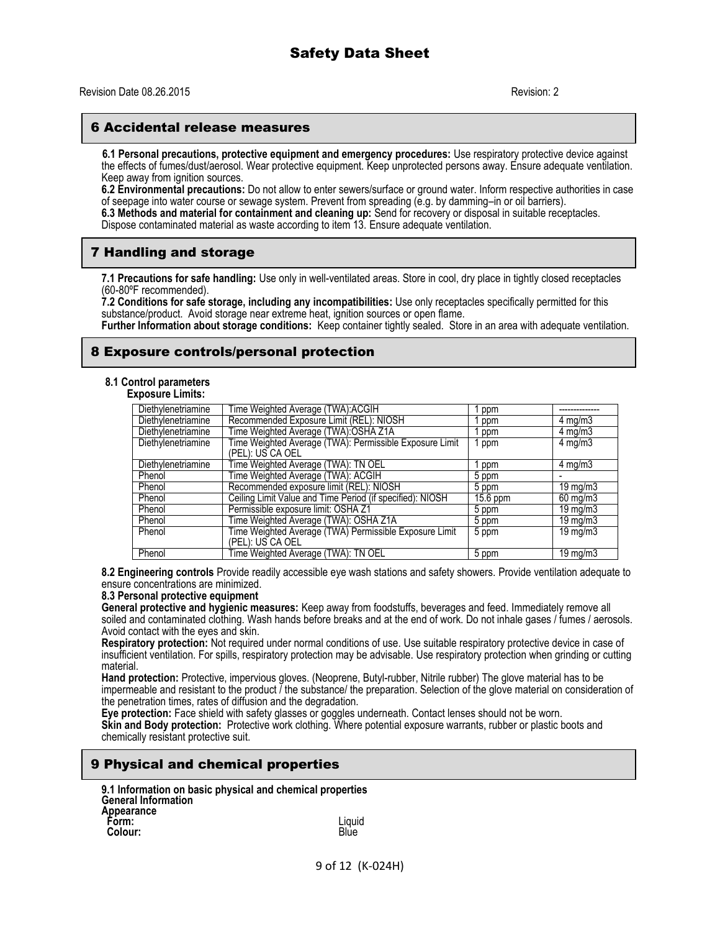### 6 Accidental release measures

 **6.1 Personal precautions, protective equipment and emergency procedures:** Use respiratory protective device against the effects of fumes/dust/aerosol. Wear protective equipment. Keep unprotected persons away. Ensure adequate ventilation. Keep away from ignition sources.

**6.2 Environmental precautions:** Do not allow to enter sewers/surface or ground water. Inform respective authorities in case of seepage into water course or sewage system. Prevent from spreading (e.g. by damming–in or oil barriers). **6.3 Methods and material for containment and cleaning up:** Send for recovery or disposal in suitable receptacles. Dispose contaminated material as waste according to item 13. Ensure adequate ventilation.

## 7 Handling and storage

**7.1 Precautions for safe handling:** Use only in well-ventilated areas. Store in cool, dry place in tightly closed receptacles (60-80ºF recommended).

**7.2 Conditions for safe storage, including any incompatibilities:** Use only receptacles specifically permitted for this substance/product. Avoid storage near extreme heat, ignition sources or open flame.

**Further Information about storage conditions:** Keep container tightly sealed. Store in an area with adequate ventilation.

### 8 Exposure controls/personal protection

### **8.1 Control parameters**

**Exposure Limits:**

| Diethylenetriamine | Time Weighted Average (TWA):ACGIH                                           | ppm        |                    |
|--------------------|-----------------------------------------------------------------------------|------------|--------------------|
| Diethylenetriamine | Recommended Exposure Limit (REL): NIOSH                                     | ppm        | $4 \text{ mg/m}$   |
| Diethylenetriamine | Time Weighted Average (TWA):OSHA Z1A                                        | ppm        | $4 \text{ mg/m}$   |
| Diethylenetriamine | Time Weighted Average (TWA): Permissible Exposure Limit<br>(PEL): US CA OEL | ppm        | $4 \text{ mg/m}$ 3 |
| Diethylenetriamine | Time Weighted Average (TWA): TN OEL                                         | ppm        | $4 \text{ mg/m}$   |
| Phenol             | Time Weighted Average (TWA): ACGIH                                          | 5 ppm      |                    |
| Phenol             | Recommended exposure limit (REL): NIOSH                                     | 5 ppm      | $19 \text{ mg/m}$  |
| Phenol             | Ceiling Limit Value and Time Period (if specified): NIOSH                   | $15.6$ ppm | $60$ mg/m $3$      |
| Phenol             | Permissible exposure limit: OSHA Z1                                         | 5 ppm      | $19 \text{ mg/m}$  |
| Phenol             | Time Weighted Average (TWA): OSHA Z1A                                       | 5 ppm      | 19 mg/m $3$        |
| Phenol             | Time Weighted Average (TWA) Permissible Exposure Limit<br>(PEL): US CA OEL  | 5 ppm      | 19 mg/m $3$        |
| Phenol             | Time Weighted Average (TWA): TN OEL                                         | 5 ppm      | $19 \text{ mg/m}$  |

**8.2 Engineering controls** Provide readily accessible eye wash stations and safety showers. Provide ventilation adequate to ensure concentrations are minimized.

### **8.3 Personal protective equipment**

**General protective and hygienic measures:** Keep away from foodstuffs, beverages and feed. Immediately remove all soiled and contaminated clothing. Wash hands before breaks and at the end of work. Do not inhale gases / fumes / aerosols. Avoid contact with the eyes and skin.

**Respiratory protection:** Not required under normal conditions of use. Use suitable respiratory protective device in case of insufficient ventilation. For spills, respiratory protection may be advisable. Use respiratory protection when grinding or cutting material.

**Hand protection:** Protective, impervious gloves. (Neoprene, Butyl-rubber, Nitrile rubber) The glove material has to be impermeable and resistant to the product  $\bar{l}$  the substance/ the preparation. Selection of the glove material on consideration of the penetration times, rates of diffusion and the degradation.

**Eye protection:** Face shield with safety glasses or goggles underneath. Contact lenses should not be worn.

**Skin and Body protection:** Protective work clothing. Where potential exposure warrants, rubber or plastic boots and chemically resistant protective suit.

## 9 Physical and chemical properties

| 9.1 Information on basic physical and chemical properties<br><b>General Information</b> |        |
|-----------------------------------------------------------------------------------------|--------|
| Appearance                                                                              |        |
| Form:                                                                                   | Liauid |
| Colour:                                                                                 | Blue   |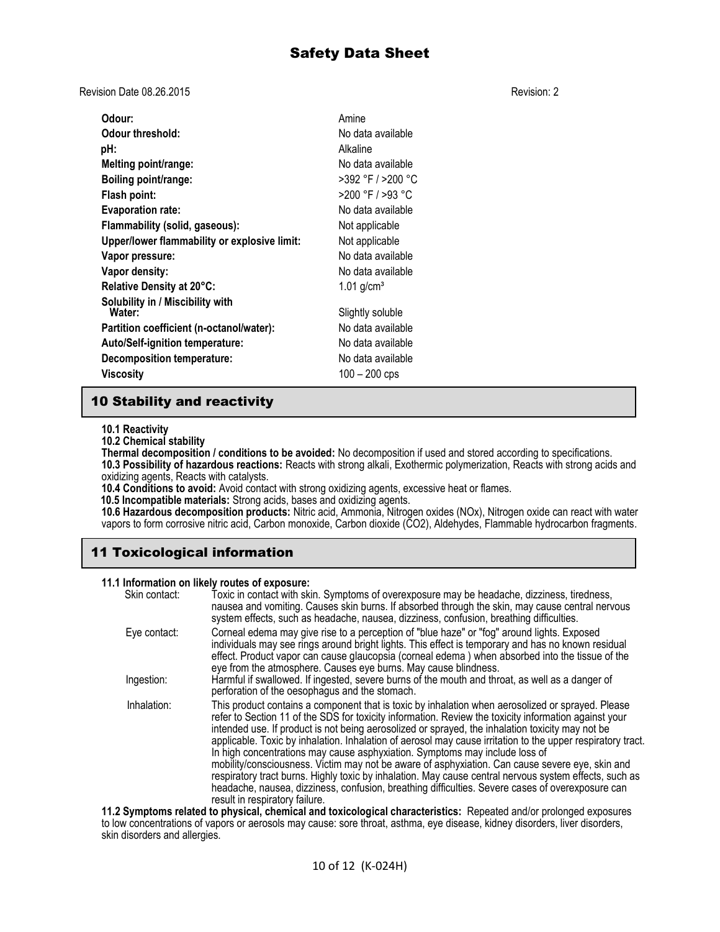Revision Date 08.26.2015 Revision: 2

| Odour:                                       | Amine                    |
|----------------------------------------------|--------------------------|
| Odour threshold:                             | No data available        |
| pH:                                          | Alkaline                 |
| Melting point/range:                         | No data available        |
| Boiling point/range:                         | >392 °F / >200 °C        |
| Flash point:                                 | >200 °F / >93 °C         |
| <b>Evaporation rate:</b>                     | No data available        |
| Flammability (solid, gaseous):               | Not applicable           |
| Upper/lower flammability or explosive limit: | Not applicable           |
| Vapor pressure:                              | No data available        |
| Vapor density:                               | No data available        |
| Relative Density at 20°C:                    | $1.01$ g/cm <sup>3</sup> |
| Solubility in / Miscibility with<br>Water:   | Slightly soluble         |
| Partition coefficient (n-octanol/water):     | No data available        |
| Auto/Self-ignition temperature:              | No data available        |
| <b>Decomposition temperature:</b>            | No data available        |
| Viscosity                                    | $100 - 200$ cps          |

## 10 Stability and reactivity

**10.1 Reactivity**

**10.2 Chemical stability**

**Thermal decomposition / conditions to be avoided:** No decomposition if used and stored according to specifications. **10.3 Possibility of hazardous reactions:** Reacts with strong alkali, Exothermic polymerization, Reacts with strong acids and oxidizing agents, Reacts with catalysts.

**10.4 Conditions to avoid:** Avoid contact with strong oxidizing agents, excessive heat or flames.

 **10.5 Incompatible materials:** Strong acids, bases and oxidizing agents.

**10.6 Hazardous decomposition products:** Nitric acid, Ammonia, Nitrogen oxides (NOx), Nitrogen oxide can react with water vapors to form corrosive nitric acid, Carbon monoxide, Carbon dioxide (CO2), Aldehydes, Flammable hydrocarbon fragments.

# 11 Toxicological information

## **11.1 Information on likely routes of exposure:**

| Skin contact: | Toxic in contact with skin. Symptoms of overexposure may be headache, dizziness, tiredness,<br>nausea and vomiting. Causes skin burns. If absorbed through the skin, may cause central nervous<br>system effects, such as headache, nausea, dizziness, confusion, breathing difficulties.                                                                                                                                                                                                                                                                                                                                                                                                                                                                                                                                                                       |
|---------------|-----------------------------------------------------------------------------------------------------------------------------------------------------------------------------------------------------------------------------------------------------------------------------------------------------------------------------------------------------------------------------------------------------------------------------------------------------------------------------------------------------------------------------------------------------------------------------------------------------------------------------------------------------------------------------------------------------------------------------------------------------------------------------------------------------------------------------------------------------------------|
| Eye contact:  | Corneal edema may give rise to a perception of "blue haze" or "fog" around lights. Exposed<br>individuals may see rings around bright lights. This effect is temporary and has no known residual<br>effect. Product vapor can cause glaucopsia (corneal edema ) when absorbed into the tissue of the<br>eye from the atmosphere. Causes eye burns. May cause blindness.                                                                                                                                                                                                                                                                                                                                                                                                                                                                                         |
| Ingestion:    | Harmful if swallowed. If ingested, severe burns of the mouth and throat, as well as a danger of<br>perforation of the oesophagus and the stomach.                                                                                                                                                                                                                                                                                                                                                                                                                                                                                                                                                                                                                                                                                                               |
| Inhalation:   | This product contains a component that is toxic by inhalation when aerosolized or sprayed. Please<br>refer to Section 11 of the SDS for toxicity information. Review the toxicity information against your<br>intended use. If product is not being aerosolized or sprayed, the inhalation toxicity may not be<br>applicable. Toxic by inhalation. Inhalation of aerosol may cause irritation to the upper respiratory tract.<br>In high concentrations may cause asphyxiation. Symptoms may include loss of<br>mobility/consciousness. Victim may not be aware of asphyxiation. Can cause severe eye, skin and<br>respiratory tract burns. Highly toxic by inhalation. May cause central nervous system effects, such as<br>headache, nausea, dizziness, confusion, breathing difficulties. Severe cases of overexposure can<br>result in respiratory failure. |
|               | 11.2 Symptoms related to physical, chemical and toxicological characteristics: Repeated and/or prolonged exposures                                                                                                                                                                                                                                                                                                                                                                                                                                                                                                                                                                                                                                                                                                                                              |

**11.2 Symptoms related to physical, chemical and toxicological characteristics:** Repeated and/or prolonged exposures to low concentrations of vapors or aerosols may cause: sore throat, asthma, eye disease, kidney disorders, liver disorders, skin disorders and allergies.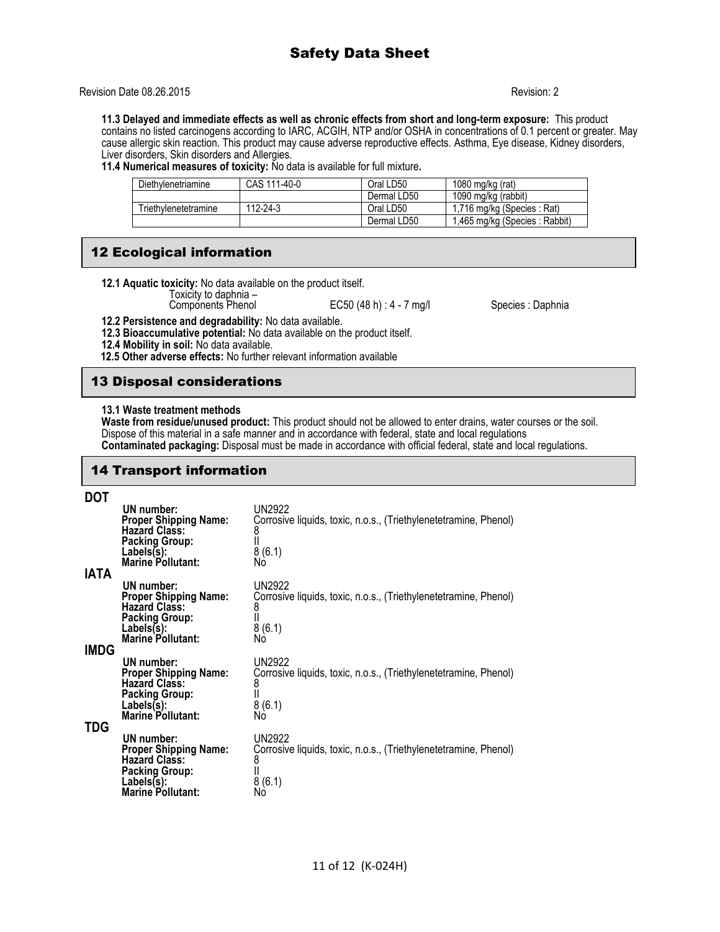## Revision Date 08.26.2015 Revision: 2

**11.3 Delayed and immediate effects as well as chronic effects from short and long-term exposure:** This product contains no listed carcinogens according to IARC, ACGIH, NTP and/or OSHA in concentrations of 0.1 percent or greater. May cause allergic skin reaction. This product may cause adverse reproductive effects. Asthma, Eye disease, Kidney disorders, Liver disorders, Skin disorders and Allergies.

**11.4 Numerical measures of toxicity:** No data is available for full mixture**.** 

| Diethylenetriamine   | CAS 111-40-0 | Oral LD50   | 1080 mg/kg $(rat)$            |
|----------------------|--------------|-------------|-------------------------------|
|                      |              | Dermal LD50 | 1090 mg/kg (rabbit)           |
| Triethvlenetetramine | 112-24-3     | Oral LD50   | 1,716 mg/kg (Species : Rat)   |
|                      |              | Dermal LD50 | 1,465 mg/kg (Species: Rabbit) |

## 12 Ecological information

**12.1 Aquatic toxicity:** No data available on the product itself.

Toxicity to daphnia –

EC50 (48 h) : 4 - 7 mg/l Species : Daphnia

**12.2 Persistence and degradability:** No data available.

**12.3 Bioaccumulative potential:** No data available on the product itself.

**12.4 Mobility in soil:** No data available.

 **12.5 Other adverse effects:** No further relevant information available

## 13 Disposal considerations

### **13.1 Waste treatment methods**

**Waste from residue/unused product:** This product should not be allowed to enter drains, water courses or the soil. Dispose of this material in a safe manner and in accordance with federal, state and local regulations **Contaminated packaging:** Disposal must be made in accordance with official federal, state and local regulations.

## 14 Transport information

## **DOT**

|              | UN number:<br><b>Proper Shipping Name:</b><br><b>Hazard Class:</b><br><b>Packing Group:</b><br>Lables(s):<br><b>Marine Pollutant:</b> | <b>UN2922</b><br>Corrosive liquids, toxic, n.o.s., (Triethylenetetramine, Phenol)<br>8<br>8(6.1)<br>Nó |
|--------------|---------------------------------------------------------------------------------------------------------------------------------------|--------------------------------------------------------------------------------------------------------|
| IATA<br>IMDG | UN number:<br><b>Proper Shipping Name:</b><br><b>Hazard Class:</b><br><b>Packing Group:</b><br>Labels(s):<br><b>Marine Pollutant:</b> | <b>UN2922</b><br>Corrosive liquids, toxic, n.o.s., (Triethylenetetramine, Phenol)<br>8(6.1)<br>No      |
|              | UN number:<br><b>Proper Shipping Name:</b><br><b>Hazard Class:</b><br><b>Packing Group:</b><br>Labels(s):<br><b>Marine Pollutant:</b> | <b>UN2922</b><br>Corrosive liquids, toxic, n.o.s., (Triethylenetetramine, Phenol)<br>8<br>8(6.1)<br>Nó |
| TDG          | UN number:<br><b>Proper Shipping Name:</b><br><b>Hazard Class:</b><br><b>Packing Group:</b><br>Labels(s):<br>Marine Pollutant:        | <b>UN2922</b><br>Corrosive liquids, toxic, n.o.s., (Triethylenetetramine, Phenol)<br>8<br>8(6.1)<br>Nò |